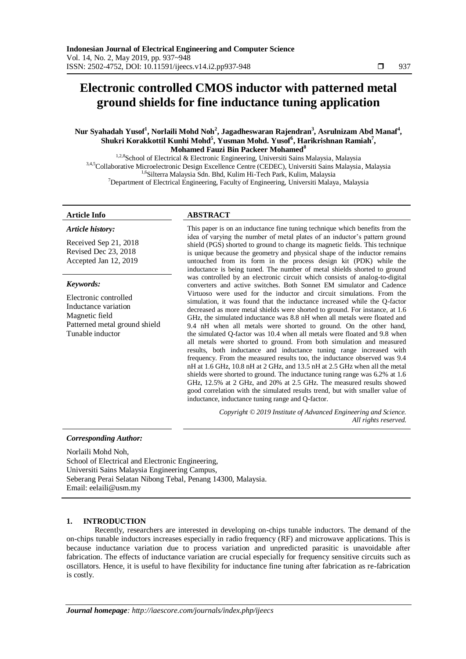# **Electronic controlled CMOS inductor with patterned metal ground shields for fine inductance tuning application**

# **Nur Syahadah Yusof<sup>1</sup> , Norlaili Mohd Noh<sup>2</sup> , Jagadheswaran Rajendran<sup>3</sup> , Asrulnizam Abd Manaf<sup>4</sup> , Shukri Korakkottil Kunhi Mohd<sup>5</sup> , Yusman Mohd. Yusof<sup>6</sup> , Harikrishnan Ramiah<sup>7</sup> , Mohamed Fauzi Bin Packeer Mohamed<sup>8</sup>**

<sup>1,2,8</sup>School of Electrical & Electronic Engineering, Universiti Sains Malaysia, Malaysia 3,4,5 Collaborative Microelectronic Design Excellence Centre (CEDEC), Universiti Sains Malaysia, Malaysia <sup>1,6</sup>Silterra Malaysia Sdn. Bhd, Kulim Hi-Tech Park, Kulim, Malaysia <sup>7</sup>Department of Electrical Engineering, Faculty of Engineering, Universiti Malaya, Malaysia

#### *Article history:*

Received Sep 21, 2018 Revised Dec 23, 2018 Accepted Jan 12, 2019

# *Keywords:*

Electronic controlled Inductance variation Magnetic field Patterned metal ground shield Tunable inductor

# **Article Info ABSTRACT**

This paper is on an inductance fine tuning technique which benefits from the idea of varying the number of metal plates of an inductor's pattern ground shield (PGS) shorted to ground to change its magnetic fields. This technique is unique because the geometry and physical shape of the inductor remains untouched from its form in the process design kit (PDK) while the inductance is being tuned. The number of metal shields shorted to ground was controlled by an electronic circuit which consists of analog-to-digital converters and active switches. Both Sonnet EM simulator and Cadence Virtuoso were used for the inductor and circuit simulations. From the simulation, it was found that the inductance increased while the Q-factor decreased as more metal shields were shorted to ground. For instance, at 1.6 GHz, the simulated inductance was 8.8 nH when all metals were floated and 9.4 nH when all metals were shorted to ground. On the other hand, the simulated Q-factor was 10.4 when all metals were floated and 9.8 when all metals were shorted to ground. From both simulation and measured results, both inductance and inductance tuning range increased with frequency. From the measured results too, the inductance observed was 9.4 nH at 1.6 GHz, 10.8 nH at 2 GHz, and 13.5 nH at 2.5 GHz when all the metal shields were shorted to ground. The inductance tuning range was 6.2% at 1.6 GHz, 12.5% at 2 GHz, and 20% at 2.5 GHz. The measured results showed good correlation with the simulated results trend, but with smaller value of inductance, inductance tuning range and Q-factor.

> *Copyright © 2019 Institute of Advanced Engineering and Science. All rights reserved.*

# *Corresponding Author:*

Norlaili Mohd Noh, School of Electrical and Electronic Engineering, Universiti Sains Malaysia Engineering Campus, Seberang Perai Selatan Nibong Tebal, Penang 14300, Malaysia. Email: eelaili@usm.my

# **1. INTRODUCTION**

Recently, researchers are interested in developing on-chips tunable inductors. The demand of the on-chips tunable inductors increases especially in radio frequency (RF) and microwave applications. This is because inductance variation due to process variation and unpredicted parasitic is unavoidable after fabrication. The effects of inductance variation are crucial especially for frequency sensitive circuits such as oscillators. Hence, it is useful to have flexibility for inductance fine tuning after fabrication as re-fabrication is costly.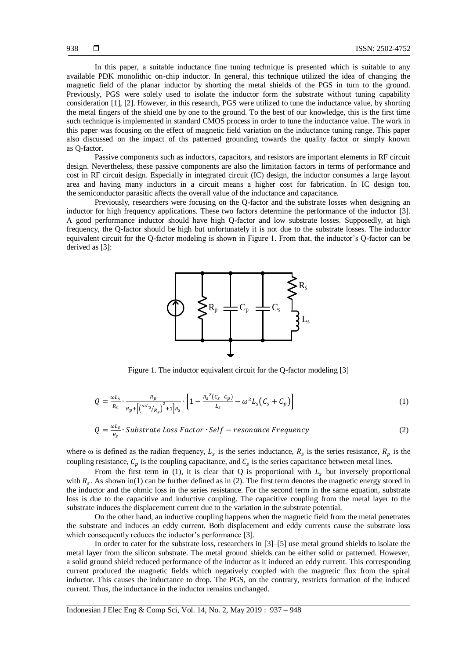In this paper, a suitable inductance fine tuning technique is presented which is suitable to any available PDK monolithic on-chip inductor. In general, this technique utilized the idea of changing the magnetic field of the planar inductor by shorting the metal shields of the PGS in turn to the ground. Previously, PGS were solely used to isolate the inductor form the substrate without tuning capability consideration [1], [2]. However, in this research, PGS were utilized to tune the inductance value, by shorting the metal fingers of the shield one by one to the ground. To the best of our knowledge, this is the first time such technique is implemented in standard CMOS process in order to tune the inductance value. The work in this paper was focusing on the effect of magnetic field variation on the inductance tuning range. This paper also discussed on the impact of ths patterned grounding towards the quality factor or simply known as Q-factor.

Passive components such as inductors, capacitors, and resistors are important elements in RF circuit design. Nevertheless, these passive components are also the limitation factors in terms of performance and cost in RF circuit design. Especially in integrated circuit (IC) design, the inductor consumes a large layout area and having many inductors in a circuit means a higher cost for fabrication. In IC design too, the semiconductor parasitic affects the overall value of the inductance and capacitance.

Previously, researchers were focusing on the Q-factor and the substrate losses when designing an inductor for high frequency applications. These two factors determine the performance of the inductor [3]. A good performance inductor should have high Q-factor and low substrate losses. Supposedly, at high frequency, the Q-factor should be high but unfortunately it is not due to the substrate losses. The inductor equivalent circuit for the Q-factor modeling is shown in Figure 1. From that, the inductor's Q-factor can be derived as [3]:



Figure 1. The inductor equivalent circuit for the Q-factor modeling [3]

$$
Q = \frac{\omega L_S}{R_S} \cdot \frac{R_p}{R_p + \left[ \left( \frac{\omega L_S}{R_S} \right)^2 + 1 \right] R_S} \cdot \left[ 1 - \frac{R_S^2 (C_S + C_p)}{L_S} - \omega^2 L_S (C_S + C_p) \right] \tag{1}
$$

$$
Q = \frac{\omega L_s}{R_s} \cdot \text{Substrate Loss Factor} \cdot \text{Self} - \text{resonance Frequency} \tag{2}
$$

where  $\omega$  is defined as the radian frequency,  $L_s$  is the series inductance,  $R_s$  is the series resistance,  $R_n$  is the coupling resistance,  $C_n$  is the coupling capacitance, and  $C_s$  is the series capacitance between metal lines.

From the first term in (1), it is clear that Q is proportional with  $L<sub>s</sub>$  but inversely proportional with  $R_s$ . As shown in(1) can be further defined as in (2). The first term denotes the magnetic energy stored in the inductor and the ohmic loss in the series resistance. For the second term in the same equation, substrate loss is due to the capacitive and inductive coupling. The capacitive coupling from the metal layer to the substrate induces the displacement current due to the variation in the substrate potential.

On the other hand, an inductive coupling happens when the magnetic field from the metal penetrates the substrate and induces an eddy current. Both displacement and eddy currents cause the substrate loss which consequently reduces the inductor's performance [3].

In order to cater for the substrate loss, researchers in [3]–[5] use metal ground shields to isolate the metal layer from the silicon substrate. The metal ground shields can be either solid or patterned. However, a solid ground shield reduced performance of the inductor as it induced an eddy current. This corresponding current produced the magnetic fields which negatively coupled with the magnetic flux from the spiral inductor. This causes the inductance to drop. The PGS, on the contrary, restricts formation of the induced current. Thus, the inductance in the inductor remains unchanged.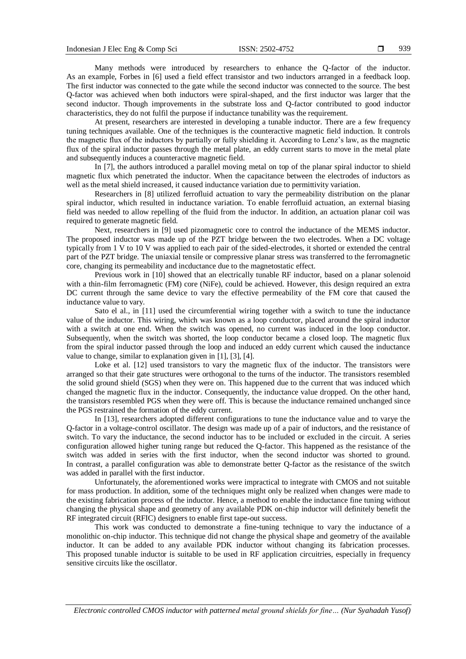Many methods were introduced by researchers to enhance the Q-factor of the inductor. As an example, Forbes in [6] used a field effect transistor and two inductors arranged in a feedback loop. The first inductor was connected to the gate while the second inductor was connected to the source. The best Q-factor was achieved when both inductors were spiral-shaped, and the first inductor was larger that the second inductor. Though improvements in the substrate loss and Q-factor contributed to good inductor characteristics, they do not fulfil the purpose if inductance tunability was the requirement.

At present, researchers are interested in developing a tunable inductor. There are a few frequency tuning techniques available. One of the techniques is the counteractive magnetic field induction. It controls the magnetic flux of the inductors by partially or fully shielding it. According to Lenz's law, as the magnetic flux of the spiral inductor passes through the metal plate, an eddy current starts to move in the metal plate and subsequently induces a counteractive magnetic field.

In [7], the authors introduced a parallel moving metal on top of the planar spiral inductor to shield magnetic flux which penetrated the inductor. When the capacitance between the electrodes of inductors as well as the metal shield increased, it caused inductance variation due to permittivity variation.

Researchers in [8] utilized ferrofluid actuation to vary the permeability distribution on the planar spiral inductor, which resulted in inductance variation. To enable ferrofluid actuation, an external biasing field was needed to allow repelling of the fluid from the inductor. In addition, an actuation planar coil was required to generate magnetic field.

Next, researchers in [9] used pizomagnetic core to control the inductance of the MEMS inductor. The proposed inductor was made up of the PZT bridge between the two electrodes. When a DC voltage typically from 1 V to 10 V was applied to each pair of the sided-electrodes, it shorted or extended the central part of the PZT bridge. The uniaxial tensile or compressive planar stress was transferred to the ferromagnetic core, changing its permeability and incductance due to the magnetostatic effect.

Previous work in [10] showed that an electrically tunable RF inductor, based on a planar solenoid with a thin-film ferromagnetic (FM) core (NiFe), could be achieved. However, this design required an extra DC current through the same device to vary the effective permeability of the FM core that caused the inductance value to vary.

Sato el al., in [11] used the circumferential wiring together with a switch to tune the inductance value of the inductor. This wiring, which was known as a loop conductor, placed around the spiral inductor with a switch at one end. When the switch was opened, no current was induced in the loop conductor. Subsequently, when the switch was shorted, the loop conductor became a closed loop. The magnetic flux from the spiral inductor passed through the loop and induced an eddy current which caused the inductance value to change, similar to explanation given in [1], [3], [4].

Loke et al. [12] used transistors to vary the magnetic flux of the inductor. The transistors were arranged so that their gate structures were orthogonal to the turns of the inductor. The transistors resembled the solid ground shield (SGS) when they were on. This happened due to the current that was induced which changed the magnetic flux in the inductor. Consequently, the inductance value dropped. On the other hand, the transistors resembled PGS when they were off. This is because the inductance remained unchanged since the PGS restrained the formation of the eddy current.

In [13], researchers adopted different configurations to tune the inductance value and to varye the Q-factor in a voltage-control oscillator. The design was made up of a pair of inductors, and the resistance of switch. To vary the inductance, the second inductor has to be included or excluded in the circuit. A series configuration allowed higher tuning range but reduced the Q-factor. This happened as the resistance of the switch was added in series with the first inductor, when the second inductor was shorted to ground. In contrast, a parallel configuration was able to demonstrate better Q-factor as the resistance of the switch was added in parallel with the first inductor.

Unfortunately, the aforementioned works were impractical to integrate with CMOS and not suitable for mass production. In addition, some of the techniques might only be realized when changes were made to the existing fabrication process of the inductor. Hence, a method to enable the inductance fine tuning without changing the physical shape and geometry of any available PDK on-chip inductor will definitely benefit the RF integrated circuit (RFIC) designers to enable first tape-out success.

This work was conducted to demonstrate a fine-tuning technique to vary the inductance of a monolithic on-chip inductor. This technique did not change the physical shape and geometry of the available inductor. It can be added to any available PDK inductor without changing its fabrication processes. This proposed tunable inductor is suitable to be used in RF application circuitries, especially in frequency sensitive circuits like the oscillator.

*Electronic controlled CMOS inductor with patterned metal ground shields for fine… (Nur Syahadah Yusof)*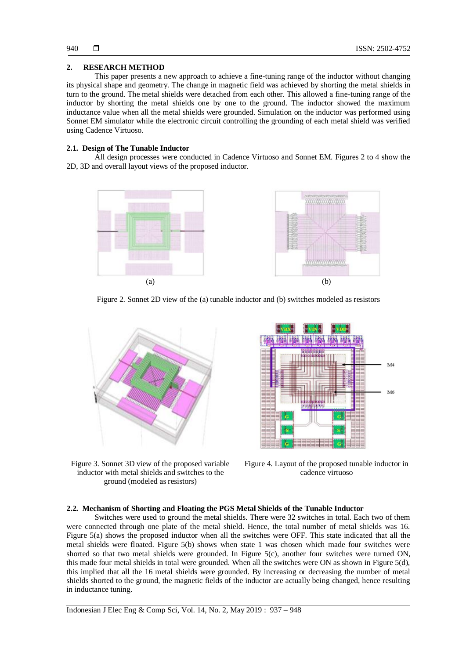# **2. RESEARCH METHOD**

This paper presents a new approach to achieve a fine-tuning range of the inductor without changing its physical shape and geometry. The change in magnetic field was achieved by shorting the metal shields in turn to the ground. The metal shields were detached from each other. This allowed a fine-tuning range of the inductor by shorting the metal shields one by one to the ground. The inductor showed the maximum inductance value when all the metal shields were grounded. Simulation on the inductor was performed using Sonnet EM simulator while the electronic circuit controlling the grounding of each metal shield was verified using Cadence Virtuoso.

# **2.1. Design of The Tunable Inductor**

All design processes were conducted in Cadence Virtuoso and Sonnet EM. Figures 2 to 4 show the 2D, 3D and overall layout views of the proposed inductor.



Figure 2. Sonnet 2D view of the (a) tunable inductor and (b) switches modeled as resistors



Figure 3. Sonnet 3D view of the proposed variable inductor with metal shields and switches to the ground (modeled as resistors)



Figure 4. Layout of the proposed tunable inductor in cadence virtuoso

# **2.2. Mechanism of Shorting and Floating the PGS Metal Shields of the Tunable Inductor**

Switches were used to ground the metal shields. There were 32 switches in total. Each two of them were connected through one plate of the metal shield. Hence, the total number of metal shields was 16. Figure 5(a) shows the proposed inductor when all the switches were OFF. This state indicated that all the metal shields were floated. Figure 5(b) shows when state 1 was chosen which made four switches were shorted so that two metal shields were grounded. In Figure  $5(c)$ , another four switches were turned ON, this made four metal shields in total were grounded. When all the switches were ON as shown in Figure 5(d), this implied that all the 16 metal shields were grounded. By increasing or decreasing the number of metal shields shorted to the ground, the magnetic fields of the inductor are actually being changed, hence resulting in inductance tuning.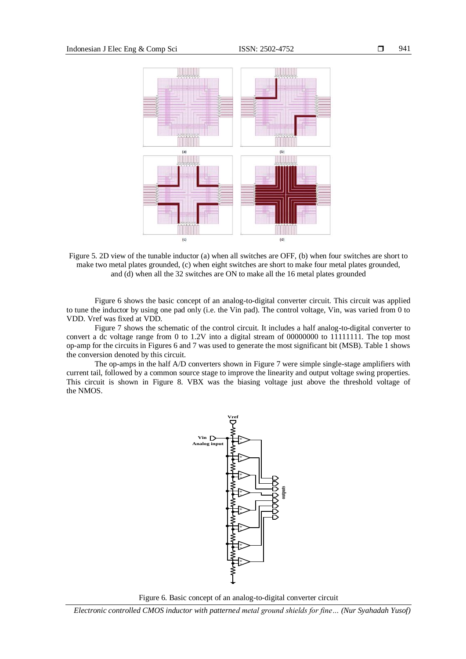

Figure 5. 2D view of the tunable inductor (a) when all switches are OFF, (b) when four switches are short to make two metal plates grounded, (c) when eight switches are short to make four metal plates grounded, and (d) when all the 32 switches are ON to make all the 16 metal plates grounded

Figure 6 shows the basic concept of an analog-to-digital converter circuit. This circuit was applied to tune the inductor by using one pad only (i.e. the Vin pad). The control voltage, Vin, was varied from 0 to VDD. Vref was fixed at VDD.

Figure 7 shows the schematic of the control circuit. It includes a half analog-to-digital converter to convert a dc voltage range from 0 to 1.2V into a digital stream of 00000000 to 11111111. The top most op-amp for the circuits in Figures 6 and 7 was used to generate the most significant bit (MSB). Table 1 shows the conversion denoted by this circuit.

The op-amps in the half A/D converters shown in Figure 7 were simple single-stage amplifiers with current tail, followed by a common source stage to improve the linearity and output voltage swing properties. This circuit is shown in Figure 8. VBX was the biasing voltage just above the threshold voltage of the NMOS.



Figure 6. Basic concept of an analog-to-digital converter circuit

*Electronic controlled CMOS inductor with patterned metal ground shields for fine… (Nur Syahadah Yusof)*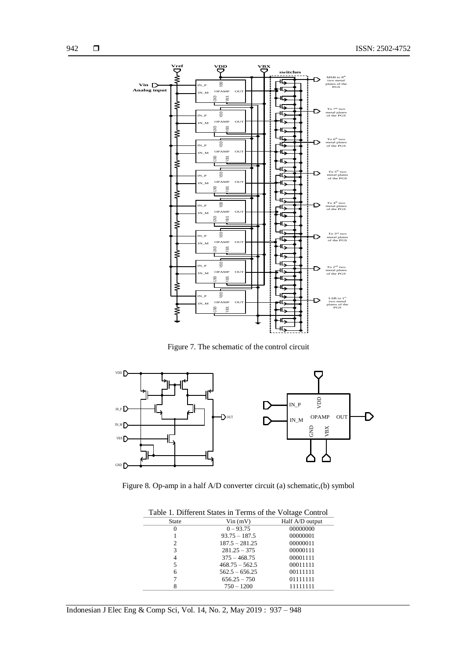

Figure 7. The schematic of the control circuit



Figure 8. Op-amp in a half A/D converter circuit (a) schematic,(b) symbol

| Table 1. Different States in Terms of the Voltage Control |                  |                 |  |  |
|-----------------------------------------------------------|------------------|-----------------|--|--|
| <b>State</b>                                              | $V$ in $(mV)$    | Half A/D output |  |  |
| $\Omega$                                                  | $0 - 93.75$      | 00000000        |  |  |
|                                                           | $93.75 - 187.5$  | 00000001        |  |  |
| 2                                                         | $187.5 - 281.25$ | 00000011        |  |  |
| 3                                                         | $281.25 - 375$   | 00000111        |  |  |
| 4                                                         | $375 - 468.75$   | 00001111        |  |  |
| 5                                                         | $468.75 - 562.5$ | 00011111        |  |  |
| 6                                                         | $562.5 - 656.25$ | 00111111        |  |  |
|                                                           | $656.25 - 750$   | 01111111        |  |  |
| 8                                                         | $750 - 1200$     | 11111111        |  |  |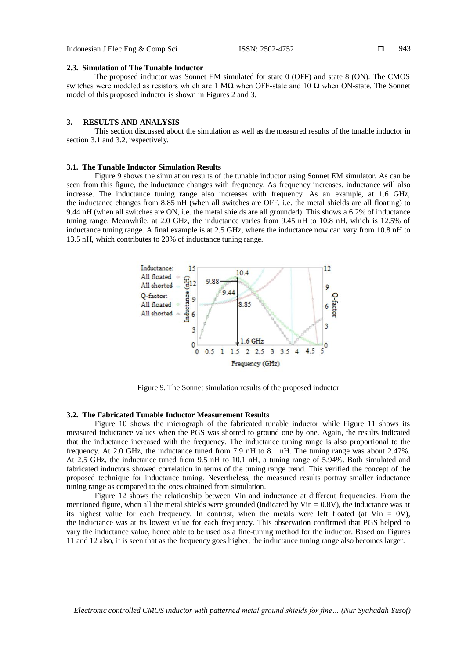943

#### **2.3. Simulation of The Tunable Inductor**

The proposed inductor was Sonnet EM simulated for state 0 (OFF) and state 8 (ON). The CMOS switches were modeled as resistors which are 1 MΩ when OFF-state and 10  $Ω$  when ON-state. The Sonnet model of this proposed inductor is shown in Figures 2 and 3.

#### **3. RESULTS AND ANALYSIS**

This section discussed about the simulation as well as the measured results of the tunable inductor in section 3.1 and 3.2, respectively.

#### **3.1. The Tunable Inductor Simulation Results**

Figure 9 shows the simulation results of the tunable inductor using Sonnet EM simulator. As can be seen from this figure, the inductance changes with frequency. As frequency increases, inductance will also increase. The inductance tuning range also increases with frequency. As an example, at 1.6 GHz, the inductance changes from 8.85 nH (when all switches are OFF, i.e. the metal shields are all floating) to 9.44 nH (when all switches are ON, i.e. the metal shields are all grounded). This shows a 6.2% of inductance tuning range. Meanwhile, at 2.0 GHz, the inductance varies from 9.45 nH to 10.8 nH, which is 12.5% of inductance tuning range. A final example is at 2.5 GHz, where the inductance now can vary from 10.8 nH to 13.5 nH, which contributes to 20% of inductance tuning range.



Figure 9. The Sonnet simulation results of the proposed inductor

### **3.2. The Fabricated Tunable Inductor Measurement Results**

Figure 10 shows the micrograph of the fabricated tunable inductor while Figure 11 shows its measured inductance values when the PGS was shorted to ground one by one. Again, the results indicated that the inductance increased with the frequency. The inductance tuning range is also proportional to the frequency. At 2.0 GHz, the inductance tuned from 7.9 nH to 8.1 nH. The tuning range was about 2.47%. At 2.5 GHz, the inductance tuned from 9.5 nH to 10.1 nH, a tuning range of 5.94%. Both simulated and fabricated inductors showed correlation in terms of the tuning range trend. This verified the concept of the proposed technique for inductance tuning. Nevertheless, the measured results portray smaller inductance tuning range as compared to the ones obtained from simulation.

Figure 12 shows the relationship between Vin and inductance at different frequencies. From the mentioned figure, when all the metal shields were grounded (indicated by  $V$ in =  $0.8V$ ), the inductance was at its highest value for each frequency. In contrast, when the metals were left floated (at Vin  $= 0V$ ), the inductance was at its lowest value for each frequency. This observation confirmed that PGS helped to vary the inductance value, hence able to be used as a fine-tuning method for the inductor. Based on Figures 11 and 12 also, it is seen that as the frequency goes higher, the inductance tuning range also becomes larger.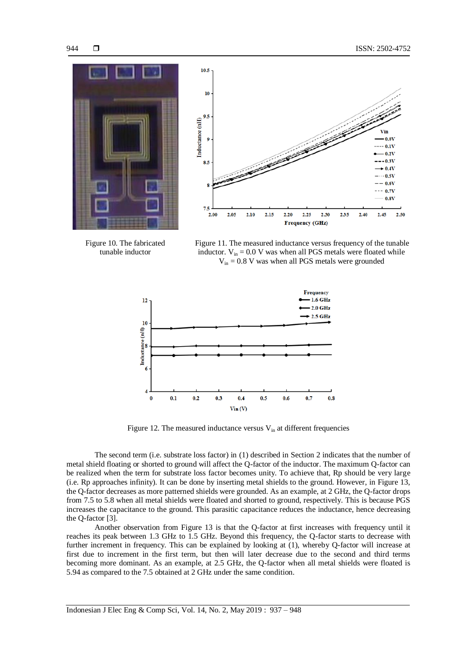



Figure 10. The fabricated tunable inductor

Figure 11. The measured inductance versus frequency of the tunable inductor.  $V_{in} = 0.0$  V was when all PGS metals were floated while  $V_{in} = 0.8$  V was when all PGS metals were grounded



Figure 12. The measured inductance versus  $V_{in}$  at different frequencies

The second term (i.e. substrate loss factor) in (1) described in Section 2 indicates that the number of metal shield floating or shorted to ground will affect the Q-factor of the inductor. The maximum Q-factor can be realized when the term for substrate loss factor becomes unity. To achieve that, Rp should be very large (i.e. Rp approaches infinity). It can be done by inserting metal shields to the ground. However, in Figure 13, the Q-factor decreases as more patterned shields were grounded. As an example, at 2 GHz, the Q-factor drops from 7.5 to 5.8 when all metal shields were floated and shorted to ground, respectively. This is because PGS increases the capacitance to the ground. This parasitic capacitance reduces the inductance, hence decreasing the Q-factor [3].

Another observation from Figure 13 is that the Q-factor at first increases with frequency until it reaches its peak between 1.3 GHz to 1.5 GHz. Beyond this frequency, the Q-factor starts to decrease with further increment in frequency. This can be explained by looking at (1), whereby Q-factor will increase at first due to increment in the first term, but then will later decrease due to the second and third terms becoming more dominant. As an example, at 2.5 GHz, the Q-factor when all metal shields were floated is 5.94 as compared to the 7.5 obtained at 2 GHz under the same condition.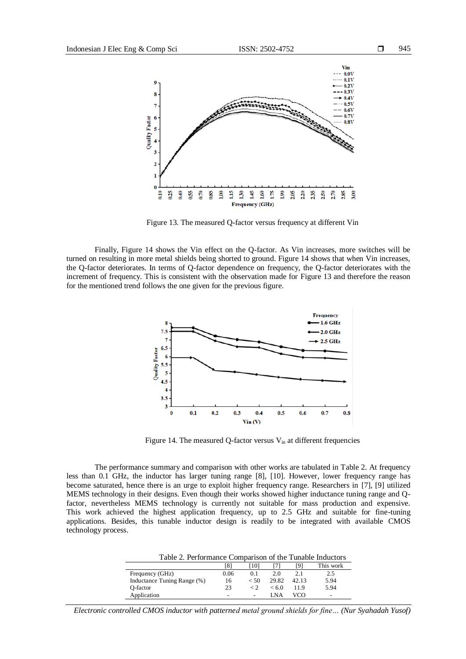

Figure 13. The measured Q-factor versus frequency at different Vin

Finally, Figure 14 shows the Vin effect on the Q-factor. As Vin increases, more switches will be turned on resulting in more metal shields being shorted to ground. Figure 14 shows that when Vin increases, the Q-factor deteriorates. In terms of Q-factor dependence on frequency, the Q-factor deteriorates with the increment of frequency. This is consistent with the observation made for Figure 13 and therefore the reason for the mentioned trend follows the one given for the previous figure.



Figure 14. The measured Q-factor versus  $V_{in}$  at different frequencies

The performance summary and comparison with other works are tabulated in Table 2. At frequency less than 0.1 GHz, the inductor has larger tuning range [8], [10]. However, lower frequency range has become saturated, hence there is an urge to exploit higher frequency range. Researchers in [7], [9] utilized MEMS technology in their designs. Even though their works showed higher inductance tuning range and Qfactor, nevertheless MEMS technology is currently not suitable for mass production and expensive. This work achieved the highest application frequency, up to 2.5 GHz and suitable for fine-tuning applications. Besides, this tunable inductor design is readily to be integrated with available CMOS technology process.

| Table 2. Performance Comparison of the Tunable Inductors |      |        |       |       |           |
|----------------------------------------------------------|------|--------|-------|-------|-----------|
|                                                          | 181  | [10]   |       | Γ9.   | This work |
| Frequency (GHz)                                          | 0.06 | 0.1    | 2.0   | 2.1   | 2.5       |
| Inductance Tuning Range (%)                              | 16   | $<$ 50 | 29.82 | 42.13 | 5.94      |
| O-factor                                                 | 23   | ← ?    | < 6.0 | 11.9  | 5.94      |
| Application                                              | -    |        | I NA  | vco   | -         |

*Electronic controlled CMOS inductor with patterned metal ground shields for fine… (Nur Syahadah Yusof)*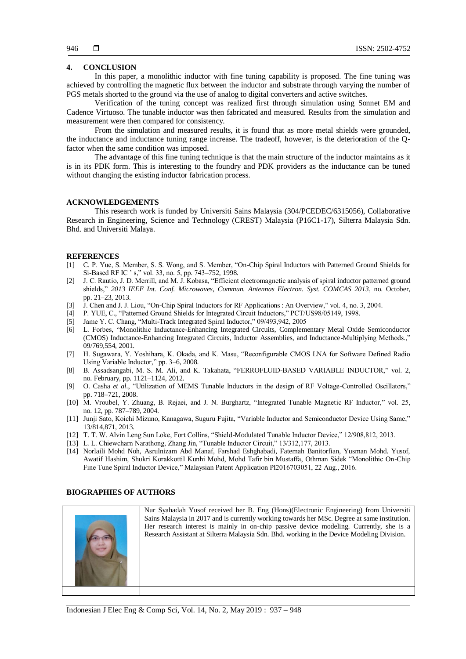# **4. CONCLUSION**

In this paper, a monolithic inductor with fine tuning capability is proposed. The fine tuning was achieved by controlling the magnetic flux between the inductor and substrate through varying the number of PGS metals shorted to the ground via the use of analog to digital converters and active switches.

Verification of the tuning concept was realized first through simulation using Sonnet EM and Cadence Virtuoso. The tunable inductor was then fabricated and measured. Results from the simulation and measurement were then compared for consistency.

From the simulation and measured results, it is found that as more metal shields were grounded, the inductance and inductance tuning range increase. The tradeoff, however, is the deterioration of the Qfactor when the same condition was imposed.

The advantage of this fine tuning technique is that the main structure of the inductor maintains as it is in its PDK form. This is interesting to the foundry and PDK providers as the inductance can be tuned without changing the existing inductor fabrication process.

# **ACKNOWLEDGEMENTS**

This research work is funded by Universiti Sains Malaysia (304/PCEDEC/6315056), Collaborative Research in Engineering, Science and Technology (CREST) Malaysia (P16C1-17), Silterra Malaysia Sdn. Bhd. and Universiti Malaya.

#### **REFERENCES**

- [1] C. P. Yue, S. Member, S. S. Wong, and S. Member, "On-Chip Spiral Inductors with Patterned Ground Shields for Si-Based RF IC ' s," vol. 33, no. 5, pp. 743–752, 1998.
- [2] J. C. Rautio, J. D. Merrill, and M. J. Kobasa, "Efficient electromagnetic analysis of spiral inductor patterned ground shields," *2013 IEEE Int. Conf. Microwaves, Commun. Antennas Electron. Syst. COMCAS 2013*, no. October, pp. 21–23, 2013.
- [3] J. Chen and J. J. Liou, "On-Chip Spiral Inductors for RF Applications : An Overview," vol. 4, no. 3, 2004.
- [4] P. YUE, C., "Patterned Ground Shields for Integrated Circuit Inductors," PCT/US98/05149, 1998.
- [5] Jame Y. C. Chang, "Multi-Track Integrated Spiral Inductor," 09/493,942, 2005
- [6] L. Forbes, "Monolithic Inductance-Enhancing Integrated Circuits, Complementary Metal Oxide Semiconductor (CMOS) Inductance-Enhancing Integrated Circuits, Inductor Assemblies, and Inductance-Multiplying Methods.," 09/769,554, 2001.
- [7] H. Sugawara, Y. Yoshihara, K. Okada, and K. Masu, "Reconfigurable CMOS LNA for Software Defined Radio Using Variable Inductor," pp. 3–6, 2008.
- [8] B. Assadsangabi, M. S. M. Ali, and K. Takahata, "FERROFLUID-BASED VARIABLE INDUCTOR," vol. 2, no. February, pp. 1121–1124, 2012.
- [9] O. Casha *et al.*, "Utilization of MEMS Tunable Inductors in the design of RF Voltage-Controlled Oscillators," pp. 718–721, 2008.
- [10] M. Vroubel, Y. Zhuang, B. Rejaei, and J. N. Burghartz, "Integrated Tunable Magnetic RF Inductor," vol. 25, no. 12, pp. 787–789, 2004.
- [11] Junji Sato, Koichi Mizuno, Kanagawa, Suguru Fujita, "Variable Inductor and Semiconductor Device Using Same," 13/814,871, 2013.
- [12] T. T. W. Alvin Leng Sun Loke, Fort Collins, "Shield-Modulated Tunable Inductor Device," 12/908,812, 2013.
- [13] L. L. Chiewcharn Narathong, Zhang Jin, "Tunable Inductor Circuit," 13/312,177, 2013.
- [14] Norlaili Mohd Noh, Asrulnizam Abd Manaf, Farshad Eshghabadi, Fatemah Banitorfian, Yusman Mohd. Yusof, Awatif Hashim, Shukri Korakkottil Kunhi Mohd, Mohd Tafir bin Mustaffa, Othman Sidek "Monolithic On-Chip Fine Tune Spiral Inductor Device," Malaysian Patent Application PI2016703051, 22 Aug., 2016.

### **BIOGRAPHIES OF AUTHORS**



Nur Syahadah Yusof received her B. Eng (Hons)(Electronic Engineering) from Universiti Sains Malaysia in 2017 and is currently working towards her MSc. Degree at same institution. Her research interest is mainly in on-chip passive device modeling. Currently, she is a Research Assistant at Silterra Malaysia Sdn. Bhd. working in the Device Modeling Division.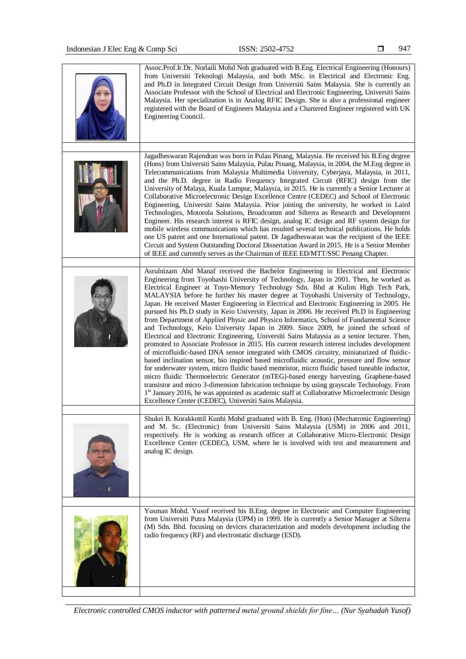| Assoc.Prof.Ir.Dr. Norlaili Mohd Noh graduated with B.Eng. Electrical Engineering (Honours)<br>from Universiti Teknologi Malaysia, and both MSc. in Electrical and Electronic Eng.<br>and Ph.D in Integrated Circuit Design from Universiti Sains Malaysia. She is currently an<br>Associate Professor with the School of Electrical and Electronic Engineering, Universiti Sains<br>Malaysia. Her specialization is in Analog RFIC Design. She is also a professional engineer<br>registered with the Board of Engineers Malaysia and a Chartered Engineer registered with UK<br>Engineering Council.                                                                                                                                                                                                                                                                                                                                                                                                                                                                                                                                                                                                                                                                                                                                                                                                                                                                                                                                                                            |
|----------------------------------------------------------------------------------------------------------------------------------------------------------------------------------------------------------------------------------------------------------------------------------------------------------------------------------------------------------------------------------------------------------------------------------------------------------------------------------------------------------------------------------------------------------------------------------------------------------------------------------------------------------------------------------------------------------------------------------------------------------------------------------------------------------------------------------------------------------------------------------------------------------------------------------------------------------------------------------------------------------------------------------------------------------------------------------------------------------------------------------------------------------------------------------------------------------------------------------------------------------------------------------------------------------------------------------------------------------------------------------------------------------------------------------------------------------------------------------------------------------------------------------------------------------------------------------|
| Jagadheswaran Rajendran was born in Pulau Pinang, Malaysia. He received his B.Eng degree<br>(Hons) from Universiti Sains Malaysia, Pulau Pinang, Malaysia, in 2004, the M.Eng degree in<br>Telecommunications from Malaysia Multimedia University, Cyberjaya, Malaysia, in 2011,<br>and the Ph.D. degree in Radio Frequency Integrated Circuit (RFIC) design from the<br>University of Malaya, Kuala Lumpur, Malaysia, in 2015. He is currently a Senior Lecturer at<br>Collaborative Microelectronic Design Excellence Centre (CEDEC) and School of Electronic<br>Engineering, Universiti Sains Malaysia. Prior joining the university, he worked in Laird<br>Technologies, Motorola Solutions, Broadcomm and Silterra as Research and Development<br>Engineer. His research interest is RFIC design, analog IC design and RF system design for<br>mobile wireless communications which has resulted several technical publications. He holds<br>one US patent and one International patent. Dr Jagadheswaran was the recipient of the IEEE<br>Circuit and System Outstanding Doctoral Dissertation Award in 2015. He is a Senior Member<br>of IEEE and currently serves as the Chairman of IEEE ED/MTT/SSC Penang Chapter.                                                                                                                                                                                                                                                                                                                                                     |
| Asrulnizam Abd Manaf received the Bachelor Engineering in Electrical and Electronic<br>Engineering from Toyohashi University of Technology, Japan in 2001. Then, he worked as<br>Electrical Engineer at Toyo-Memory Technology Sdn. Bhd at Kulim High Tech Park,<br>MALAYSIA before he further his master degree at Toyohashi University of Technology,<br>Japan. He received Master Engineering in Electrical and Electronic Engineering in 2005. He<br>pursued his Ph.D study in Keio University, Japan in 2006. He received Ph.D in Engineering<br>from Department of Applied Physic and Physico Informatics, School of Fundamental Science<br>and Technology, Keio University Japan in 2009. Since 2009, he joined the school of<br>Electrical and Electronic Engineering, Universiti Sains Malaysia as a senior lecturer. Then,<br>promoted to Associate Professor in 2015. His current research interest includes development<br>of microfluidic-based DNA sensor integrated with CMOS circuitry, miniaturized of fluidic-<br>based inclination sensor, bio inspired based microfluidic acoustic, pressure and flow sensor<br>for underwater system, micro fluidic based memristor, micro fluidic based tuneable inductor,<br>micro fluidic Thermoelectric Generator (mTEG)-based energy harvesting, Graphene-based<br>transistor and micro 3-dimension fabrication technique by using grayscale Technology. From<br>1st January 2016, he was appointed as academic staff at Collaborative Microelectronic Design<br>Excellence Center (CEDEC), Universiti Sains Malaysia. |
| Shukri B. Korakkottil Kunhi Mohd graduated with B. Eng. (Hon) (Mechatronic Engineering)<br>and M. Sc. (Electronic) from Universiti Sains Malaysia (USM) in 2006 and 2011,<br>respectively. He is working as research officer at Collaborative Micro-Electronic Design<br>Excellence Center (CEDEC), USM, where he is involved with test and measurement and<br>analog IC design.                                                                                                                                                                                                                                                                                                                                                                                                                                                                                                                                                                                                                                                                                                                                                                                                                                                                                                                                                                                                                                                                                                                                                                                                 |
| Yusman Mohd. Yusof received his B.Eng. degree in Electronic and Computer Engineering<br>from Universiti Putra Malaysia (UPM) in 1999. He is currently a Senior Manager at Silterra<br>(M) Sdn. Bhd. focusing on devices characterization and models development including the<br>radio frequency (RF) and electrostatic discharge (ESD).                                                                                                                                                                                                                                                                                                                                                                                                                                                                                                                                                                                                                                                                                                                                                                                                                                                                                                                                                                                                                                                                                                                                                                                                                                         |

*Electronic controlled CMOS inductor with patterned metal ground shields for fine… (Nur Syahadah Yusof)*